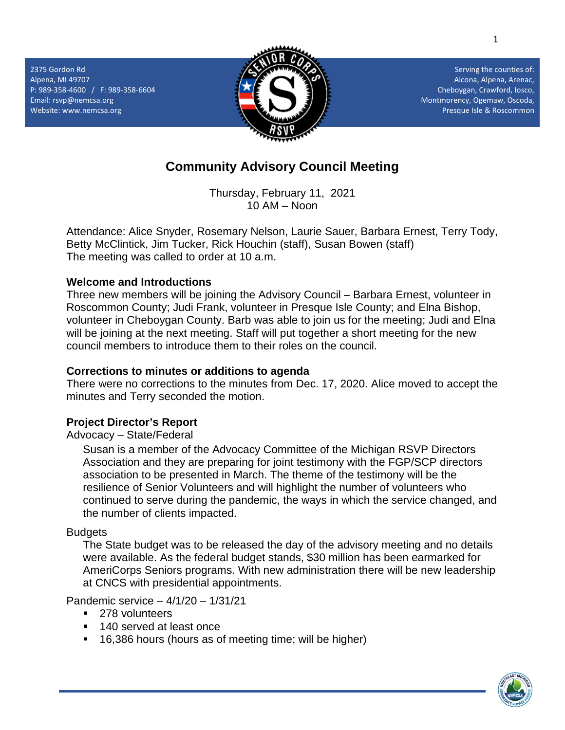2375 Gordon Rd Alpena, MI 49707 P: 989-358-4600 / F: 989-358-6604 Email[: rsvp@nemcsa.org](mailto:rsvp@nemcsa.org) Website: www.nemcsa.org



Serving the counties of: Alcona, Alpena, Arenac, Cheboygan, Crawford, Iosco, Montmorency, Ogemaw, Oscoda, Presque Isle & Roscommon

# **Community Advisory Council Meeting**

Thursday, February 11, 2021 10 AM – Noon

Attendance: Alice Snyder, Rosemary Nelson, Laurie Sauer, Barbara Ernest, Terry Tody, Betty McClintick, Jim Tucker, Rick Houchin (staff), Susan Bowen (staff) The meeting was called to order at 10 a.m.

## **Welcome and Introductions**

Three new members will be joining the Advisory Council – Barbara Ernest, volunteer in Roscommon County; Judi Frank, volunteer in Presque Isle County; and Elna Bishop, volunteer in Cheboygan County. Barb was able to join us for the meeting; Judi and Elna will be joining at the next meeting. Staff will put together a short meeting for the new council members to introduce them to their roles on the council.

## **Corrections to minutes or additions to agenda**

There were no corrections to the minutes from Dec. 17, 2020. Alice moved to accept the minutes and Terry seconded the motion.

## **Project Director's Report**

Advocacy – State/Federal

Susan is a member of the Advocacy Committee of the Michigan RSVP Directors Association and they are preparing for joint testimony with the FGP/SCP directors association to be presented in March. The theme of the testimony will be the resilience of Senior Volunteers and will highlight the number of volunteers who continued to serve during the pandemic, the ways in which the service changed, and the number of clients impacted.

## **Budgets**

The State budget was to be released the day of the advisory meeting and no details were available. As the federal budget stands, \$30 million has been earmarked for AmeriCorps Seniors programs. With new administration there will be new leadership at CNCS with presidential appointments.

Pandemic service – 4/1/20 – 1/31/21

- **278** volunteers
- 140 served at least once
- 16,386 hours (hours as of meeting time; will be higher)

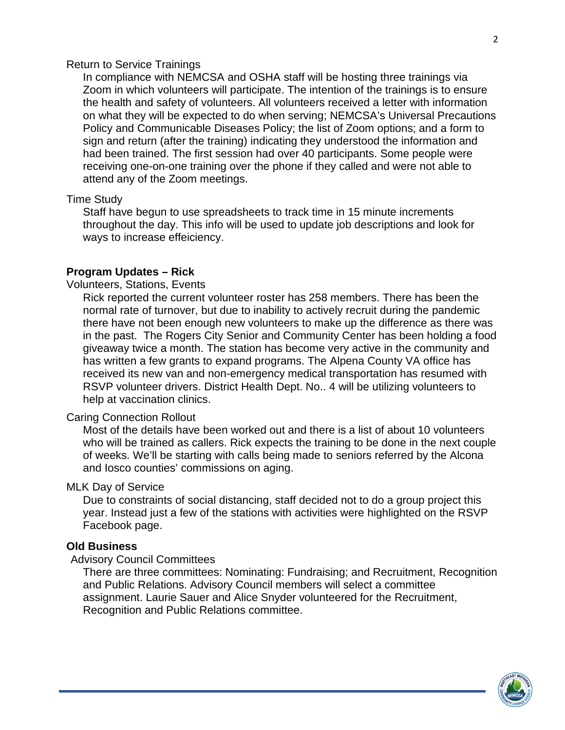#### Return to Service Trainings

In compliance with NEMCSA and OSHA staff will be hosting three trainings via Zoom in which volunteers will participate. The intention of the trainings is to ensure the health and safety of volunteers. All volunteers received a letter with information on what they will be expected to do when serving; NEMCSA's Universal Precautions Policy and Communicable Diseases Policy; the list of Zoom options; and a form to sign and return (after the training) indicating they understood the information and had been trained. The first session had over 40 participants. Some people were receiving one-on-one training over the phone if they called and were not able to attend any of the Zoom meetings.

#### Time Study

Staff have begun to use spreadsheets to track time in 15 minute increments throughout the day. This info will be used to update job descriptions and look for ways to increase effeiciency.

## **Program Updates – Rick**

#### Volunteers, Stations, Events

Rick reported the current volunteer roster has 258 members. There has been the normal rate of turnover, but due to inability to actively recruit during the pandemic there have not been enough new volunteers to make up the difference as there was in the past. The Rogers City Senior and Community Center has been holding a food giveaway twice a month. The station has become very active in the community and has written a few grants to expand programs. The Alpena County VA office has received its new van and non-emergency medical transportation has resumed with RSVP volunteer drivers. District Health Dept. No.. 4 will be utilizing volunteers to help at vaccination clinics.

#### Caring Connection Rollout

Most of the details have been worked out and there is a list of about 10 volunteers who will be trained as callers. Rick expects the training to be done in the next couple of weeks. We'll be starting with calls being made to seniors referred by the Alcona and Iosco counties' commissions on aging.

#### MLK Day of Service

Due to constraints of social distancing, staff decided not to do a group project this year. Instead just a few of the stations with activities were highlighted on the RSVP Facebook page.

#### **Old Business**

#### Advisory Council Committees

There are three committees: Nominating: Fundraising; and Recruitment, Recognition and Public Relations. Advisory Council members will select a committee assignment. Laurie Sauer and Alice Snyder volunteered for the Recruitment, Recognition and Public Relations committee.